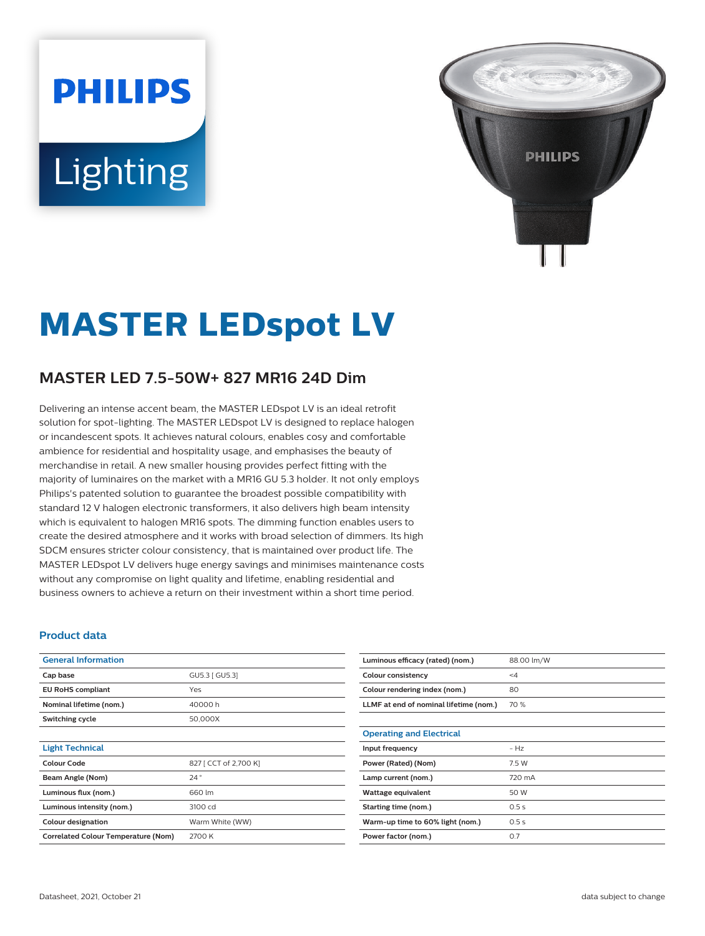# **PHILIPS Lighting**



# **MASTER LEDspot LV**

# **MASTER LED 7.5-50W+ 827 MR16 24D Dim**

Delivering an intense accent beam, the MASTER LEDspot LV is an ideal retrofit solution for spot-lighting. The MASTER LEDspot LV is designed to replace halogen or incandescent spots. It achieves natural colours, enables cosy and comfortable ambience for residential and hospitality usage, and emphasises the beauty of merchandise in retail. A new smaller housing provides perfect fitting with the majority of luminaires on the market with a MR16 GU 5.3 holder. It not only employs Philips's patented solution to guarantee the broadest possible compatibility with standard 12 V halogen electronic transformers, it also delivers high beam intensity which is equivalent to halogen MR16 spots. The dimming function enables users to create the desired atmosphere and it works with broad selection of dimmers. Its high SDCM ensures stricter colour consistency, that is maintained over product life. The MASTER LEDspot LV delivers huge energy savings and minimises maintenance costs without any compromise on light quality and lifetime, enabling residential and business owners to achieve a return on their investment within a short time period.

#### **Product data**

| <b>General Information</b>                 |                       |  |
|--------------------------------------------|-----------------------|--|
| Cap base                                   | GU5.3   GU5.3]        |  |
| <b>EU RoHS compliant</b>                   | Yes                   |  |
| Nominal lifetime (nom.)                    | 40000 h               |  |
| Switching cycle                            | 50,000X               |  |
|                                            |                       |  |
| <b>Light Technical</b>                     |                       |  |
| Colour Code                                | 827 [ CCT of 2,700 K] |  |
| Beam Angle (Nom)                           | 24°                   |  |
| Luminous flux (nom.)                       | 660 lm                |  |
| Luminous intensity (nom.)                  | 3100 cd               |  |
| <b>Colour designation</b>                  | Warm White (WW)       |  |
| <b>Correlated Colour Temperature (Nom)</b> | 2700 K                |  |

| Luminous efficacy (rated) (nom.)       | 88.00 lm/W |
|----------------------------------------|------------|
| Colour consistency                     | $\leq 4$   |
| Colour rendering index (nom.)          | 80         |
| LLMF at end of nominal lifetime (nom.) | 70 %       |
|                                        |            |
| <b>Operating and Electrical</b>        |            |
| Input frequency                        | $-Hz$      |
| Power (Rated) (Nom)                    | 7.5 W      |
| Lamp current (nom.)                    | 720 mA     |
| Wattage equivalent                     | 50 W       |
| Starting time (nom.)                   | 0.5s       |
| Warm-up time to 60% light (nom.)       | 0.5s       |
| Power factor (nom.)                    | 0.7        |
|                                        |            |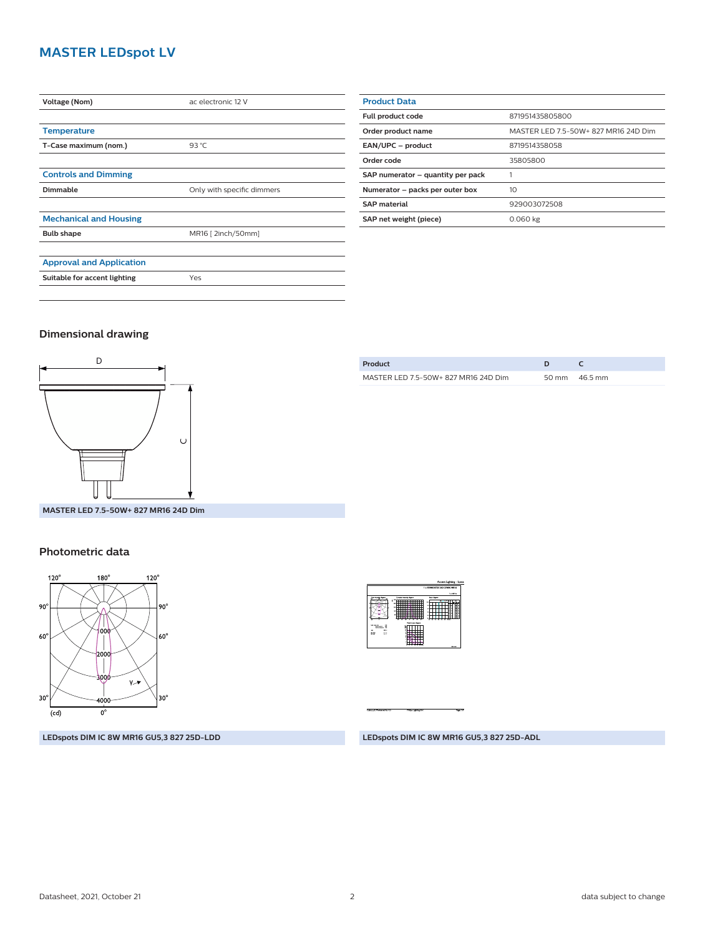# **MASTER LEDspot LV**

| Voltage (Nom)                   | ac electronic 12 V         |
|---------------------------------|----------------------------|
|                                 |                            |
| <b>Temperature</b>              |                            |
| T-Case maximum (nom.)           | 93 $°C$                    |
|                                 |                            |
| <b>Controls and Dimming</b>     |                            |
| Dimmable                        | Only with specific dimmers |
|                                 |                            |
| <b>Mechanical and Housing</b>   |                            |
| <b>Bulb shape</b>               | MR16 [2inch/50mm]          |
|                                 |                            |
| <b>Approval and Application</b> |                            |
| Suitable for accent lighting    | Yes                        |
|                                 |                            |

| <b>Product Data</b>               |                                      |
|-----------------------------------|--------------------------------------|
| Full product code                 | 871951435805800                      |
| Order product name                | MASTER LED 7.5-50W+ 827 MR16 24D Dim |
| EAN/UPC - product                 | 8719514358058                        |
| Order code                        | 35805800                             |
| SAP numerator - quantity per pack |                                      |
| Numerator - packs per outer box   | 10                                   |
| <b>SAP material</b>               | 929003072508                         |
| SAP net weight (piece)            | 0.060 kg                             |

### **Dimensional drawing**



| Product                              |                 |
|--------------------------------------|-----------------|
| MASTER LED 7.5-50W+ 827 MR16 24D Dim | 50 mm $46.5$ mm |
|                                      |                 |

**MASTER LED 7.5-50W+ 827 MR16 24D Dim**

### **Photometric data**



**LEDspots DIM IC 8W MR16 GU5,3 827 25D-LDD**

|                                                                                       |                                      | 1 x 9290830725 14D 2700K MR16 |
|---------------------------------------------------------------------------------------|--------------------------------------|-------------------------------|
|                                                                                       |                                      | <b>La salt by</b>             |
| <b>Vie Hanny Espain</b>                                                               | Carbotar Interests dualers           | <b>Burn Away</b><br>$10 - 10$ |
| <b>SPIERRENE</b><br>œ<br><b>Continued 18</b><br><b>MOV</b><br><b>STA</b><br>85<br>to: | <b><i>Visual transat disgram</i></b> | --                            |

**LEDspots DIM IC 8W MR16 GU5,3 827 25D-ADL**